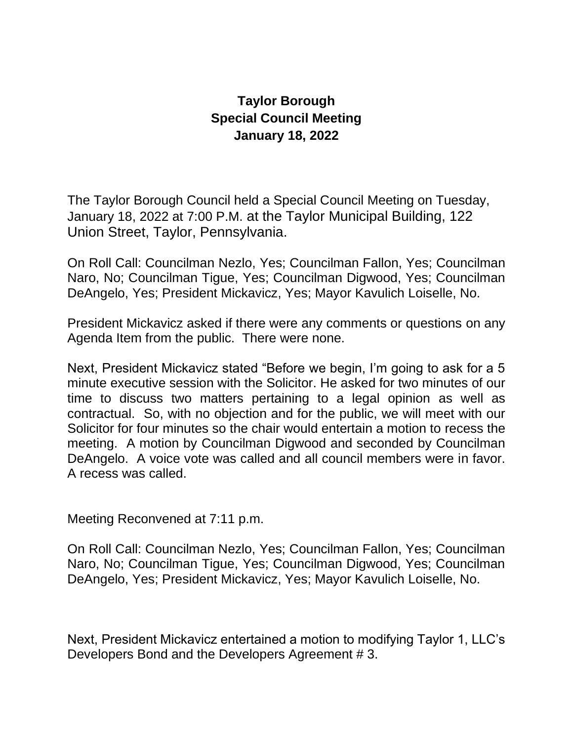## **Taylor Borough Special Council Meeting January 18, 2022**

The Taylor Borough Council held a Special Council Meeting on Tuesday, January 18, 2022 at 7:00 P.M. at the Taylor Municipal Building, 122 Union Street, Taylor, Pennsylvania.

On Roll Call: Councilman Nezlo, Yes; Councilman Fallon, Yes; Councilman Naro, No; Councilman Tigue, Yes; Councilman Digwood, Yes; Councilman DeAngelo, Yes; President Mickavicz, Yes; Mayor Kavulich Loiselle, No.

President Mickavicz asked if there were any comments or questions on any Agenda Item from the public. There were none.

Next, President Mickavicz stated "Before we begin, I'm going to ask for a 5 minute executive session with the Solicitor. He asked for two minutes of our time to discuss two matters pertaining to a legal opinion as well as contractual. So, with no objection and for the public, we will meet with our Solicitor for four minutes so the chair would entertain a motion to recess the meeting. A motion by Councilman Digwood and seconded by Councilman DeAngelo. A voice vote was called and all council members were in favor. A recess was called.

Meeting Reconvened at 7:11 p.m.

On Roll Call: Councilman Nezlo, Yes; Councilman Fallon, Yes; Councilman Naro, No; Councilman Tigue, Yes; Councilman Digwood, Yes; Councilman DeAngelo, Yes; President Mickavicz, Yes; Mayor Kavulich Loiselle, No.

Next, President Mickavicz entertained a motion to modifying Taylor 1, LLC's Developers Bond and the Developers Agreement # 3.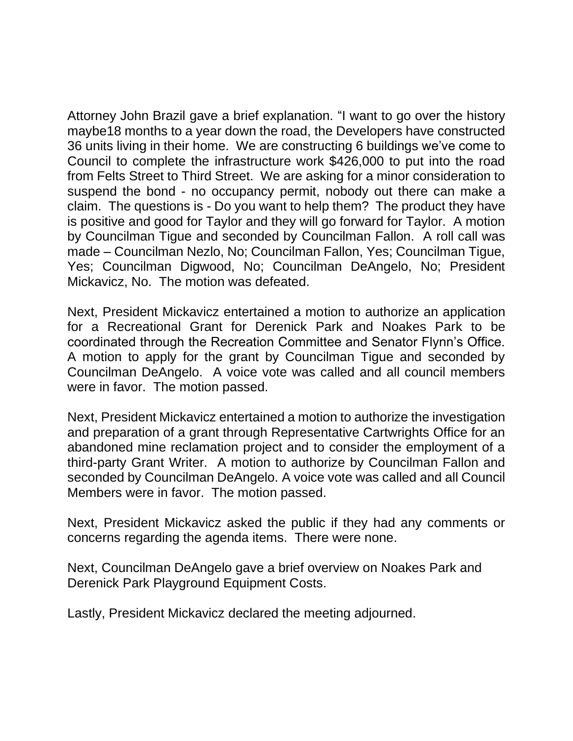Attorney John Brazil gave a brief explanation. "I want to go over the history maybe18 months to a year down the road, the Developers have constructed 36 units living in their home. We are constructing 6 buildings we've come to Council to complete the infrastructure work \$426,000 to put into the road from Felts Street to Third Street. We are asking for a minor consideration to suspend the bond - no occupancy permit, nobody out there can make a claim. The questions is - Do you want to help them? The product they have is positive and good for Taylor and they will go forward for Taylor. A motion by Councilman Tigue and seconded by Councilman Fallon. A roll call was made – Councilman Nezlo, No; Councilman Fallon, Yes; Councilman Tigue, Yes; Councilman Digwood, No; Councilman DeAngelo, No; President Mickavicz, No. The motion was defeated.

Next, President Mickavicz entertained a motion to authorize an application for a Recreational Grant for Derenick Park and Noakes Park to be coordinated through the Recreation Committee and Senator Flynn's Office. A motion to apply for the grant by Councilman Tigue and seconded by Councilman DeAngelo. A voice vote was called and all council members were in favor. The motion passed.

Next, President Mickavicz entertained a motion to authorize the investigation and preparation of a grant through Representative Cartwrights Office for an abandoned mine reclamation project and to consider the employment of a third-party Grant Writer. A motion to authorize by Councilman Fallon and seconded by Councilman DeAngelo. A voice vote was called and all Council Members were in favor. The motion passed.

Next, President Mickavicz asked the public if they had any comments or concerns regarding the agenda items. There were none.

Next, Councilman DeAngelo gave a brief overview on Noakes Park and Derenick Park Playground Equipment Costs.

Lastly, President Mickavicz declared the meeting adjourned.